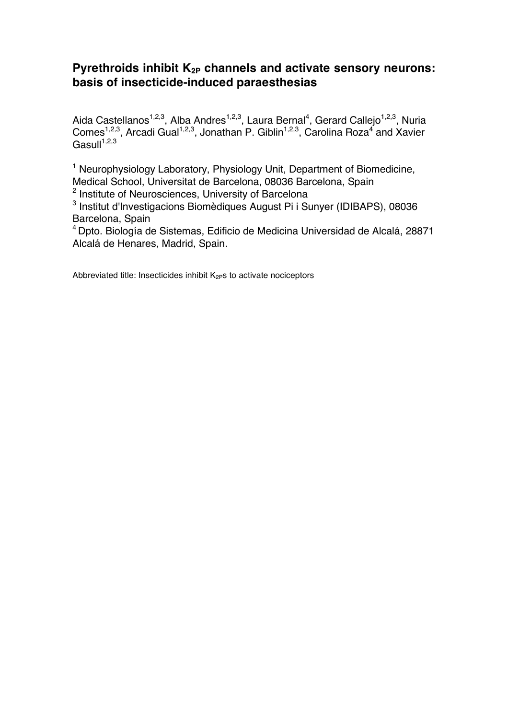### Pyrethroids inhibit K<sub>2P</sub> channels and activate sensory neurons: **basis of insecticide-induced paraesthesias**

Aida Castellanos<sup>1,2,3</sup>, Alba Andres<sup>1,2,3</sup>, Laura Bernal<sup>4</sup>, Gerard Callejo<sup>1,2,3</sup>, Nuria Comes<sup>1,2,3</sup>, Arcadi Gual<sup>1,2,3</sup>, Jonathan P. Giblin<sup>1,2,3</sup>, Carolina Roza<sup>4</sup> and Xavier  $\textsf{Gasull}^{1,2,3}$ 

<sup>1</sup> Neurophysiology Laboratory, Physiology Unit, Department of Biomedicine, Medical School, Universitat de Barcelona, 08036 Barcelona, Spain

<sup>2</sup> Institute of Neurosciences, University of Barcelona

<sup>3</sup> Institut d'Investigacions Biomèdiques August Pi i Sunyer (IDIBAPS), 08036 Barcelona, Spain

<sup>4</sup> Dpto. Biología de Sistemas, Edificio de Medicina Universidad de Alcalá, 28871 Alcalá de Henares, Madrid, Spain.

Abbreviated title: Insecticides inhibit  $K_{2P}$ s to activate nociceptors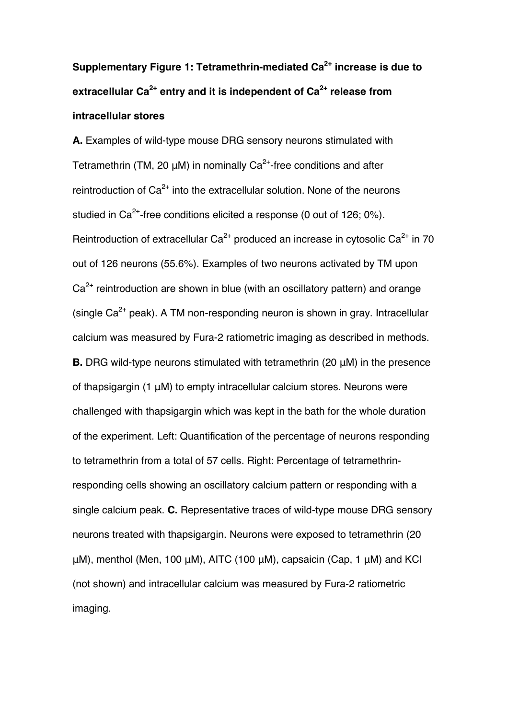# **Supplementary Figure 1: Tetramethrin-mediated Ca2+ increase is due to extracellular Ca2+ entry and it is independent of Ca2+ release from intracellular stores**

**A.** Examples of wild-type mouse DRG sensory neurons stimulated with Tetramethrin (TM, 20  $\mu$ M) in nominally Ca<sup>2+</sup>-free conditions and after reintroduction of  $Ca^{2+}$  into the extracellular solution. None of the neurons studied in  $Ca^{2+}$ -free conditions elicited a response (0 out of 126; 0%). Reintroduction of extracellular  $Ca^{2+}$  produced an increase in cytosolic  $Ca^{2+}$  in 70 out of 126 neurons (55.6%). Examples of two neurons activated by TM upon  $Ca<sup>2+</sup>$  reintroduction are shown in blue (with an oscillatory pattern) and orange (single  $Ca^{2+}$  peak). A TM non-responding neuron is shown in gray. Intracellular calcium was measured by Fura-2 ratiometric imaging as described in methods. **B.** DRG wild-type neurons stimulated with tetramethrin (20 μM) in the presence of thapsigargin (1 μM) to empty intracellular calcium stores. Neurons were challenged with thapsigargin which was kept in the bath for the whole duration of the experiment. Left: Quantification of the percentage of neurons responding to tetramethrin from a total of 57 cells. Right: Percentage of tetramethrinresponding cells showing an oscillatory calcium pattern or responding with a single calcium peak. **C.** Representative traces of wild-type mouse DRG sensory neurons treated with thapsigargin. Neurons were exposed to tetramethrin (20 μM), menthol (Men, 100 μM), AITC (100 μM), capsaicin (Cap, 1 μM) and KCl (not shown) and intracellular calcium was measured by Fura-2 ratiometric imaging.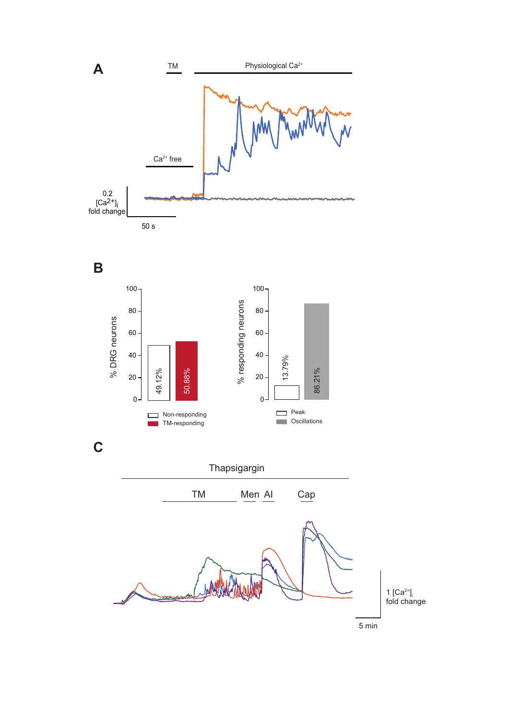



**C**

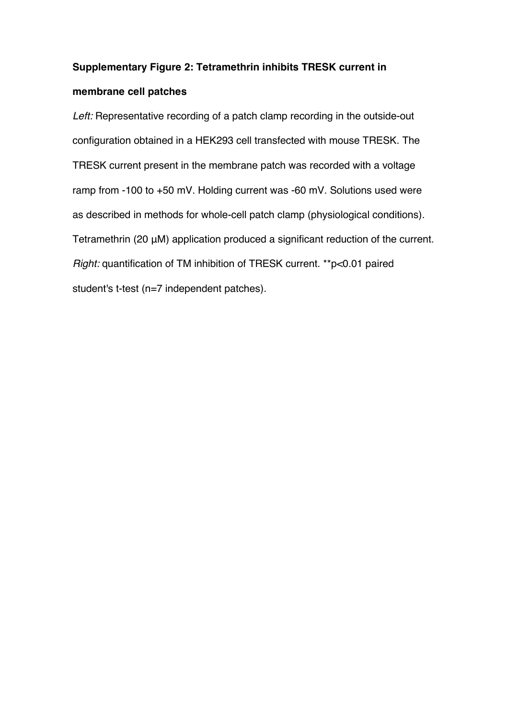#### **Supplementary Figure 2: Tetramethrin inhibits TRESK current in**

#### **membrane cell patches**

*Left:* Representative recording of a patch clamp recording in the outside-out configuration obtained in a HEK293 cell transfected with mouse TRESK. The TRESK current present in the membrane patch was recorded with a voltage ramp from -100 to +50 mV. Holding current was -60 mV. Solutions used were as described in methods for whole-cell patch clamp (physiological conditions). Tetramethrin (20 μM) application produced a significant reduction of the current. *Right:* quantification of TM inhibition of TRESK current. \*\*p<0.01 paired student's t-test (n=7 independent patches).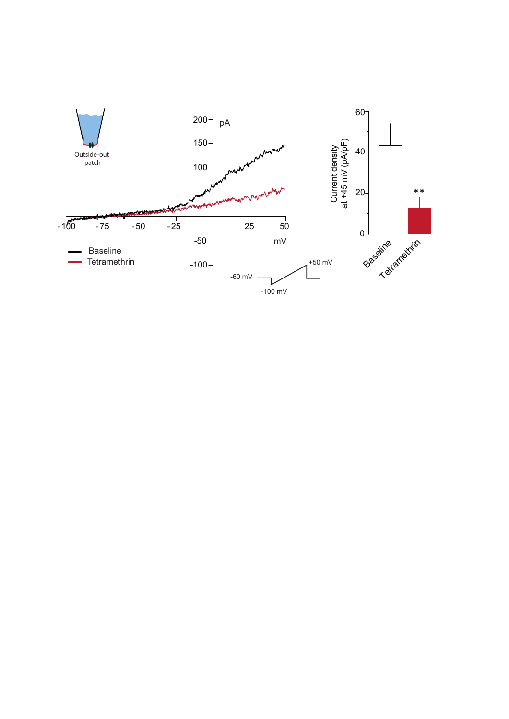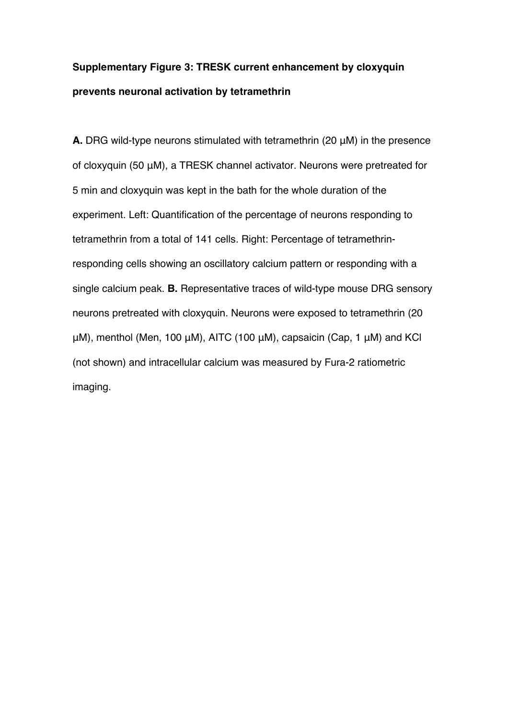## **Supplementary Figure 3: TRESK current enhancement by cloxyquin prevents neuronal activation by tetramethrin**

**A.** DRG wild-type neurons stimulated with tetramethrin (20 μM) in the presence of cloxyquin (50 μM), a TRESK channel activator. Neurons were pretreated for 5 min and cloxyquin was kept in the bath for the whole duration of the experiment. Left: Quantification of the percentage of neurons responding to tetramethrin from a total of 141 cells. Right: Percentage of tetramethrinresponding cells showing an oscillatory calcium pattern or responding with a single calcium peak. **B.** Representative traces of wild-type mouse DRG sensory neurons pretreated with cloxyquin. Neurons were exposed to tetramethrin (20 μM), menthol (Men, 100 μM), AITC (100 μM), capsaicin (Cap, 1 μM) and KCl (not shown) and intracellular calcium was measured by Fura-2 ratiometric imaging.